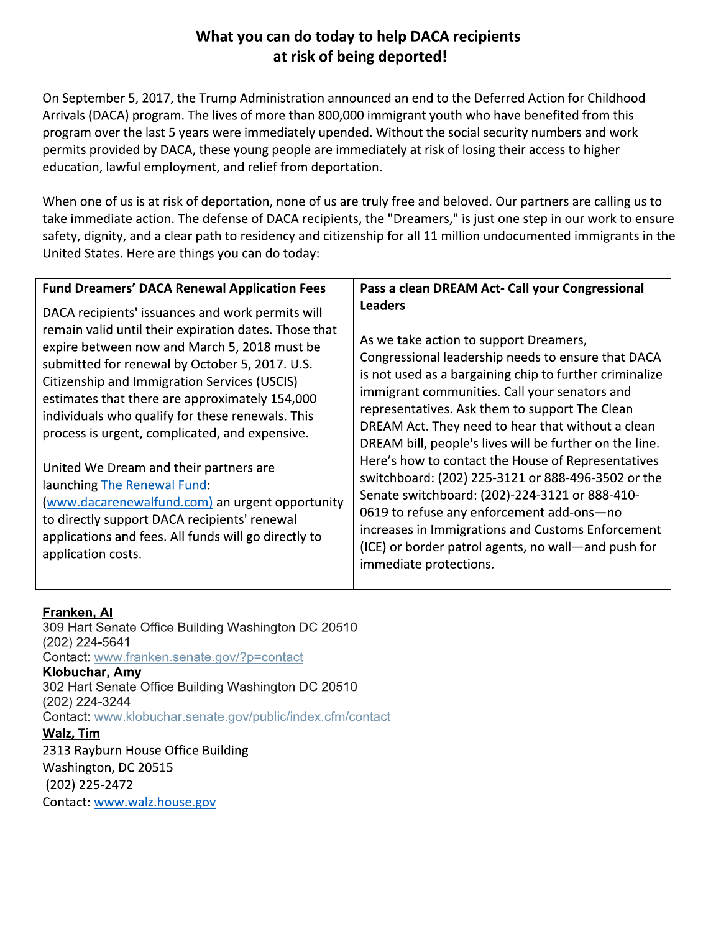## What you can do today to help DACA recipients at risk of being deported!

On September 5, 2017, the Trump Administration announced an end to the Deferred Action for Childhood Arrivals (DACA) program. The lives of more than 800,000 immigrant youth who have benefited from this program over the last 5 years were immediately upended. Without the social security numbers and work permits provided by DACA, these young people are immediately at risk of losing their access to higher education, lawful employment, and relief from deportation.

When one of us is at risk of deportation, none of us are truly free and beloved. Our partners are calling us to take immediate action. The defense of DACA recipients, the "Dreamers," is just one step in our work to ensure safety, dignity, and a clear path to residency and citizenship for all 11 million undocumented immigrants in the United States. Here are things you can do today:

| <b>Fund Dreamers' DACA Renewal Application Fees</b>                                                                                                                                                                                                                                                                                                                                                                                                                                                                                                                                             | Pass a clean DREAM Act- Call your Congressional                                                                                                                                                                                                                                                                                                                                                                                                                                                                                                                                                         |
|-------------------------------------------------------------------------------------------------------------------------------------------------------------------------------------------------------------------------------------------------------------------------------------------------------------------------------------------------------------------------------------------------------------------------------------------------------------------------------------------------------------------------------------------------------------------------------------------------|---------------------------------------------------------------------------------------------------------------------------------------------------------------------------------------------------------------------------------------------------------------------------------------------------------------------------------------------------------------------------------------------------------------------------------------------------------------------------------------------------------------------------------------------------------------------------------------------------------|
| DACA recipients' issuances and work permits will<br>remain valid until their expiration dates. Those that<br>expire between now and March 5, 2018 must be<br>submitted for renewal by October 5, 2017. U.S.<br>Citizenship and Immigration Services (USCIS)<br>estimates that there are approximately 154,000<br>individuals who qualify for these renewals. This<br>process is urgent, complicated, and expensive.<br>United We Dream and their partners are<br>launching The Renewal Fund:<br>(www.dacarenewalfund.com) an urgent opportunity<br>to directly support DACA recipients' renewal | <b>Leaders</b><br>As we take action to support Dreamers,<br>Congressional leadership needs to ensure that DACA<br>is not used as a bargaining chip to further criminalize<br>immigrant communities. Call your senators and<br>representatives. Ask them to support The Clean<br>DREAM Act. They need to hear that without a clean<br>DREAM bill, people's lives will be further on the line.<br>Here's how to contact the House of Representatives<br>switchboard: (202) 225-3121 or 888-496-3502 or the<br>Senate switchboard: (202)-224-3121 or 888-410-<br>0619 to refuse any enforcement add-ons-no |
| applications and fees. All funds will go directly to<br>application costs.                                                                                                                                                                                                                                                                                                                                                                                                                                                                                                                      | increases in Immigrations and Customs Enforcement<br>(ICE) or border patrol agents, no wall—and push for<br>immediate protections.                                                                                                                                                                                                                                                                                                                                                                                                                                                                      |

### Franken, Al

309 Hart Senate Office Building Washington DC 20510 (202) 224-5641 Contact: www.franken.senate.gov/?p=contact Klobuchar, Amy 302 Hart Senate Office Building Washington DC 20510 (202) 224-3244 Contact: www.klobuchar.senate.gov/public/index.cfm/contact Walz, Tim 2313 Rayburn House Office Building Washington, DC 20515 (202) 225-2472 Contact: www.walz.house.gov